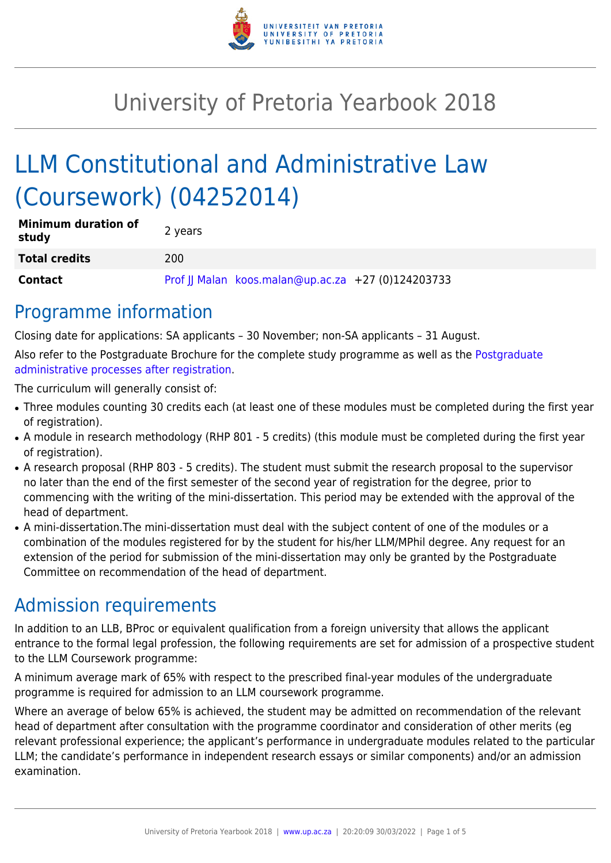

# University of Pretoria Yearbook 2018

# LLM Constitutional and Administrative Law (Coursework) (04252014)

| <b>Minimum duration of</b><br>study | 2 years                                            |
|-------------------------------------|----------------------------------------------------|
| <b>Total credits</b>                | 200                                                |
| <b>Contact</b>                      | Prof JJ Malan koos.malan@up.ac.za +27 (0)124203733 |

### Programme information

Closing date for applications: SA applicants – 30 November; non-SA applicants – 31 August.

Also refer to the Postgraduate Brochure for the complete study programme as well as the [Postgraduate](http://www.up.ac.za/media/shared/10/ZP_Files/post-graduate-administrative-processes-brochures-for-the-faculty-web.zp124870.pdf) [administrative processes after registration.](http://www.up.ac.za/media/shared/10/ZP_Files/post-graduate-administrative-processes-brochures-for-the-faculty-web.zp124870.pdf)

The curriculum will generally consist of:

- Three modules counting 30 credits each (at least one of these modules must be completed during the first year of registration).
- A module in research methodology (RHP 801 5 credits) (this module must be completed during the first year of registration).
- A research proposal (RHP 803 5 credits). The student must submit the research proposal to the supervisor no later than the end of the first semester of the second year of registration for the degree, prior to commencing with the writing of the mini-dissertation. This period may be extended with the approval of the head of department.
- A mini-dissertation. The mini-dissertation must deal with the subject content of one of the modules or a combination of the modules registered for by the student for his/her LLM/MPhil degree. Any request for an extension of the period for submission of the mini-dissertation may only be granted by the Postgraduate Committee on recommendation of the head of department.

## Admission requirements

In addition to an LLB, BProc or equivalent qualification from a foreign university that allows the applicant entrance to the formal legal profession, the following requirements are set for admission of a prospective student to the LLM Coursework programme:

A minimum average mark of 65% with respect to the prescribed final-year modules of the undergraduate programme is required for admission to an LLM coursework programme.

Where an average of below 65% is achieved, the student may be admitted on recommendation of the relevant head of department after consultation with the programme coordinator and consideration of other merits (eg relevant professional experience; the applicant's performance in undergraduate modules related to the particular LLM; the candidate's performance in independent research essays or similar components) and/or an admission examination.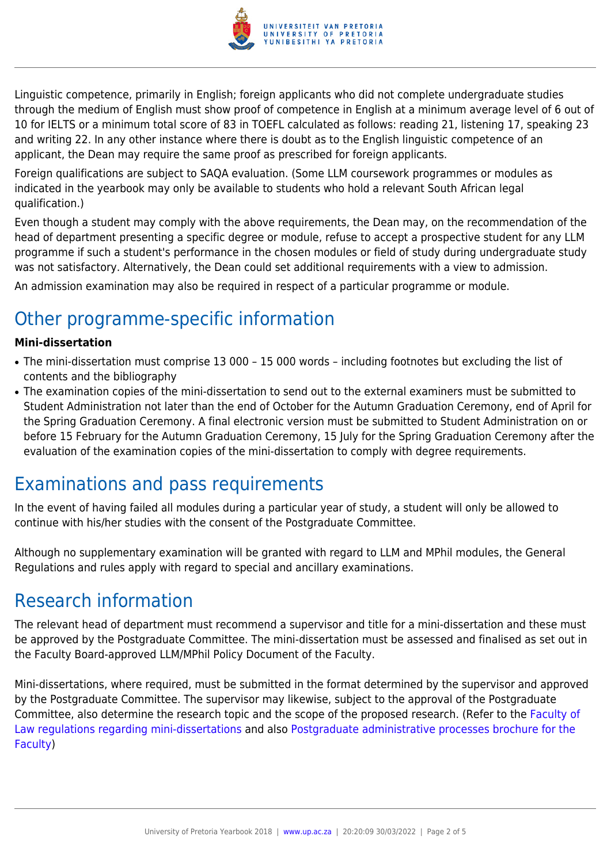

Linguistic competence, primarily in English; foreign applicants who did not complete undergraduate studies through the medium of English must show proof of competence in English at a minimum average level of 6 out of 10 for IELTS or a minimum total score of 83 in TOEFL calculated as follows: reading 21, listening 17, speaking 23 and writing 22. In any other instance where there is doubt as to the English linguistic competence of an applicant, the Dean may require the same proof as prescribed for foreign applicants.

Foreign qualifications are subject to SAQA evaluation. (Some LLM coursework programmes or modules as indicated in the yearbook may only be available to students who hold a relevant South African legal qualification.)

Even though a student may comply with the above requirements, the Dean may, on the recommendation of the head of department presenting a specific degree or module, refuse to accept a prospective student for any LLM programme if such a student's performance in the chosen modules or field of study during undergraduate study was not satisfactory. Alternatively, the Dean could set additional requirements with a view to admission.

An admission examination may also be required in respect of a particular programme or module.

## Other programme-specific information

#### **Mini-dissertation**

- The mini-dissertation must comprise 13 000 15 000 words including footnotes but excluding the list of contents and the bibliography
- The examination copies of the mini-dissertation to send out to the external examiners must be submitted to Student Administration not later than the end of October for the Autumn Graduation Ceremony, end of April for the Spring Graduation Ceremony. A final electronic version must be submitted to Student Administration on or before 15 February for the Autumn Graduation Ceremony, 15 July for the Spring Graduation Ceremony after the evaluation of the examination copies of the mini-dissertation to comply with degree requirements.

### Examinations and pass requirements

In the event of having failed all modules during a particular year of study, a student will only be allowed to continue with his/her studies with the consent of the Postgraduate Committee.

Although no supplementary examination will be granted with regard to LLM and MPhil modules, the General Regulations and rules apply with regard to special and ancillary examinations.

### Research information

The relevant head of department must recommend a supervisor and title for a mini-dissertation and these must be approved by the Postgraduate Committee. The mini-dissertation must be assessed and finalised as set out in the Faculty Board-approved LLM/MPhil Policy Document of the Faculty.

Mini-dissertations, where required, must be submitted in the format determined by the supervisor and approved by the Postgraduate Committee. The supervisor may likewise, subject to the approval of the Postgraduate Committee, also determine the research topic and the scope of the proposed research. (Refer to the [Faculty of](http://www.up.ac.za/media/shared/10/ZP_Files/faculty-regulations-for-the-mini-dissertation.zp124872.pdf) [Law regulations regarding mini-dissertations](http://www.up.ac.za/media/shared/10/ZP_Files/faculty-regulations-for-the-mini-dissertation.zp124872.pdf) and also [Postgraduate administrative processes brochure for the](http://www.up.ac.za/media/shared/10/ZP_Files/post-graduate-administrative-processes-brochures-for-the-faculty-web.zp124870.pdf) [Faculty](http://www.up.ac.za/media/shared/10/ZP_Files/post-graduate-administrative-processes-brochures-for-the-faculty-web.zp124870.pdf))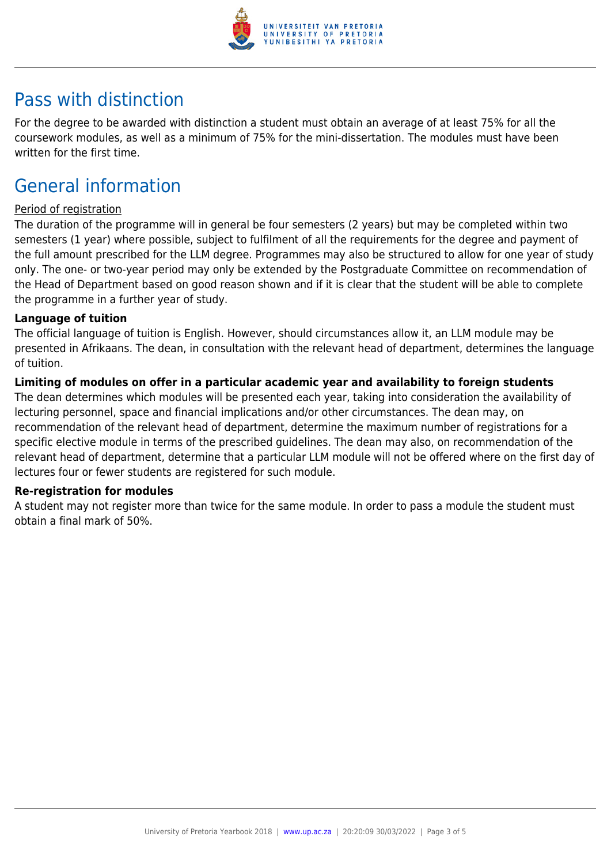

### Pass with distinction

For the degree to be awarded with distinction a student must obtain an average of at least 75% for all the coursework modules, as well as a minimum of 75% for the mini-dissertation. The modules must have been written for the first time.

### General information

#### Period of registration

The duration of the programme will in general be four semesters (2 years) but may be completed within two semesters (1 year) where possible, subject to fulfilment of all the requirements for the degree and payment of the full amount prescribed for the LLM degree. Programmes may also be structured to allow for one year of study only. The one- or two-year period may only be extended by the Postgraduate Committee on recommendation of the Head of Department based on good reason shown and if it is clear that the student will be able to complete the programme in a further year of study.

#### **Language of tuition**

The official language of tuition is English. However, should circumstances allow it, an LLM module may be presented in Afrikaans. The dean, in consultation with the relevant head of department, determines the language of tuition.

#### **Limiting of modules on offer in a particular academic year and availability to foreign students**

The dean determines which modules will be presented each year, taking into consideration the availability of lecturing personnel, space and financial implications and/or other circumstances. The dean may, on recommendation of the relevant head of department, determine the maximum number of registrations for a specific elective module in terms of the prescribed guidelines. The dean may also, on recommendation of the relevant head of department, determine that a particular LLM module will not be offered where on the first day of lectures four or fewer students are registered for such module.

#### **Re-registration for modules**

A student may not register more than twice for the same module. In order to pass a module the student must obtain a final mark of 50%.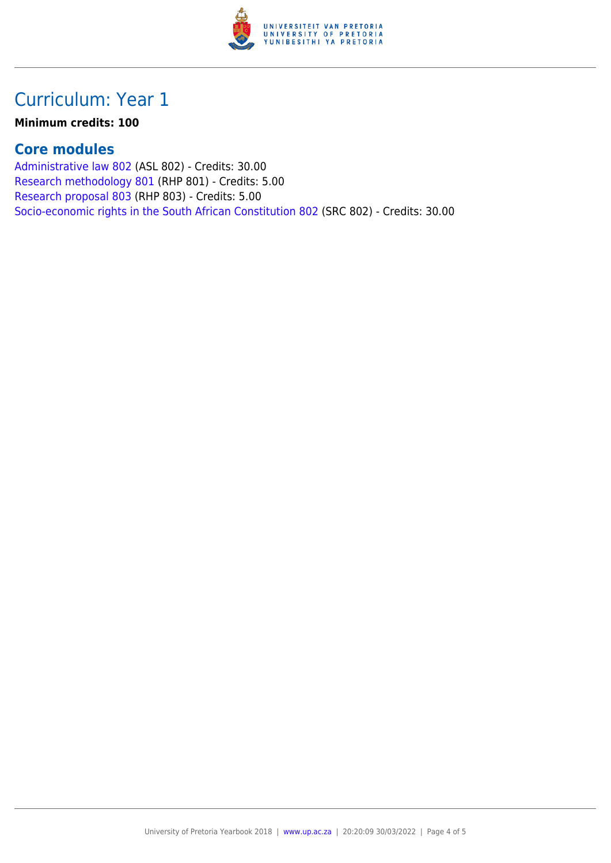

### Curriculum: Year 1

#### **Minimum credits: 100**

### **Core modules**

[Administrative law 802](https://www.up.ac.za/yearbooks/2018/modules/view/ASL 802) (ASL 802) - Credits: 30.00 [Research methodology 801](https://www.up.ac.za/yearbooks/2018/modules/view/RHP 801) (RHP 801) - Credits: 5.00 [Research proposal 803](https://www.up.ac.za/yearbooks/2018/modules/view/RHP 803) (RHP 803) - Credits: 5.00 [Socio-economic rights in the South African Constitution 802](https://www.up.ac.za/yearbooks/2018/modules/view/SRC 802) (SRC 802) - Credits: 30.00